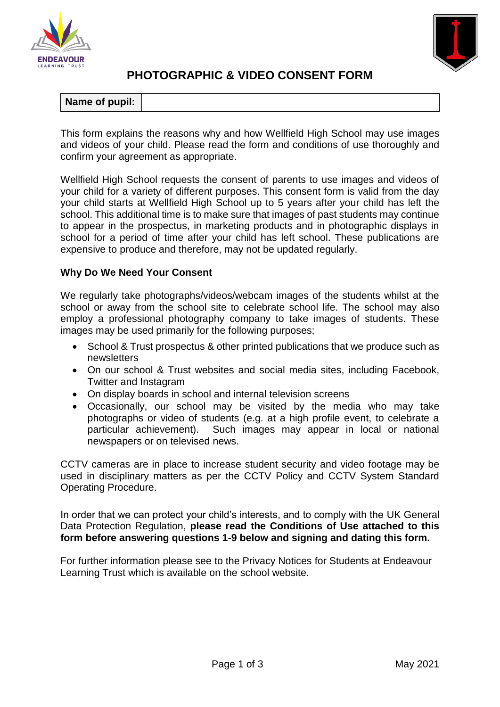



# **PHOTOGRAPHIC & VIDEO CONSENT FORM**

| Name of pupil: |  |
|----------------|--|
|                |  |

This form explains the reasons why and how Wellfield High School may use images and videos of your child. Please read the form and conditions of use thoroughly and confirm your agreement as appropriate.

Wellfield High School requests the consent of parents to use images and videos of your child for a variety of different purposes. This consent form is valid from the day your child starts at Wellfield High School up to 5 years after your child has left the school. This additional time is to make sure that images of past students may continue to appear in the prospectus, in marketing products and in photographic displays in school for a period of time after your child has left school. These publications are expensive to produce and therefore, may not be updated regularly.

## **Why Do We Need Your Consent**

We regularly take photographs/videos/webcam images of the students whilst at the school or away from the school site to celebrate school life. The school may also employ a professional photography company to take images of students. These images may be used primarily for the following purposes;

- School & Trust prospectus & other printed publications that we produce such as newsletters
- On our school & Trust websites and social media sites, including Facebook, Twitter and Instagram
- On display boards in school and internal television screens
- Occasionally, our school may be visited by the media who may take photographs or video of students (e.g. at a high profile event, to celebrate a particular achievement). Such images may appear in local or national newspapers or on televised news.

CCTV cameras are in place to increase student security and video footage may be used in disciplinary matters as per the CCTV Policy and CCTV System Standard Operating Procedure.

In order that we can protect your child's interests, and to comply with the UK General Data Protection Regulation, **please read the Conditions of Use attached to this form before answering questions 1-9 below and signing and dating this form.**

For further information please see to the Privacy Notices for Students at Endeavour Learning Trust which is available on the school website.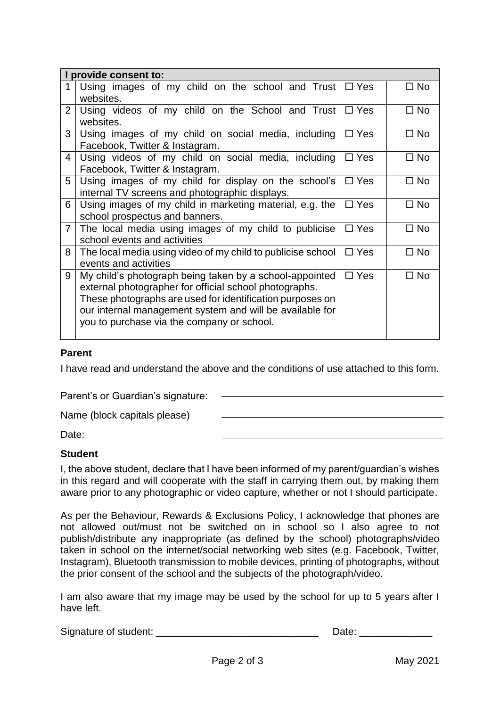| I provide consent to: |                                                                                                                                                                                                                                                                                          |            |              |  |  |
|-----------------------|------------------------------------------------------------------------------------------------------------------------------------------------------------------------------------------------------------------------------------------------------------------------------------------|------------|--------------|--|--|
| 1                     | Using images of my child on the school and Trust<br>websites.                                                                                                                                                                                                                            | $\Box$ Yes | $\square$ No |  |  |
| $\overline{2}$        | Using videos of my child on the School and Trust<br>websites.                                                                                                                                                                                                                            | $\Box$ Yes | $\square$ No |  |  |
| 3                     | Using images of my child on social media, including<br>Facebook, Twitter & Instagram.                                                                                                                                                                                                    | $\Box$ Yes | $\Box$ No    |  |  |
| $\overline{4}$        | Using videos of my child on social media, including<br>Facebook, Twitter & Instagram.                                                                                                                                                                                                    | $\Box$ Yes | $\Box$ No    |  |  |
| 5                     | Using images of my child for display on the school's<br>internal TV screens and photographic displays.                                                                                                                                                                                   | $\Box$ Yes | $\Box$ No    |  |  |
| 6                     | Using images of my child in marketing material, e.g. the<br>school prospectus and banners.                                                                                                                                                                                               | $\Box$ Yes | $\square$ No |  |  |
| 7 <sup>1</sup>        | The local media using images of my child to publicise<br>school events and activities                                                                                                                                                                                                    | $\Box$ Yes | $\Box$ No    |  |  |
| 8                     | The local media using video of my child to publicise school<br>events and activities                                                                                                                                                                                                     |            | $\Box$ No    |  |  |
| 9                     | My child's photograph being taken by a school-appointed<br>external photographer for official school photographs.<br>These photographs are used for identification purposes on<br>our internal management system and will be available for<br>you to purchase via the company or school. | $\Box$ Yes | $\square$ No |  |  |

#### **Parent**

I have read and understand the above and the conditions of use attached to this form.

Parent's or Guardian's signature:

Name (block capitals please)

Date:

#### **Student**

I, the above student, declare that I have been informed of my parent/guardian's wishes in this regard and will cooperate with the staff in carrying them out, by making them aware prior to any photographic or video capture, whether or not I should participate.

As per the Behaviour, Rewards & Exclusions Policy, I acknowledge that phones are not allowed out/must not be switched on in school so I also agree to not publish/distribute any inappropriate (as defined by the school) photographs/video taken in school on the internet/social networking web sites (e.g. Facebook, Twitter, Instagram), Bluetooth transmission to mobile devices, printing of photographs, without the prior consent of the school and the subjects of the photograph/video.

I am also aware that my image may be used by the school for up to 5 years after I have left.

Signature of student: \_\_\_\_\_\_\_\_\_\_\_\_\_\_\_\_\_\_\_\_\_\_\_\_\_\_\_\_\_ Date: \_\_\_\_\_\_\_\_\_\_\_\_\_